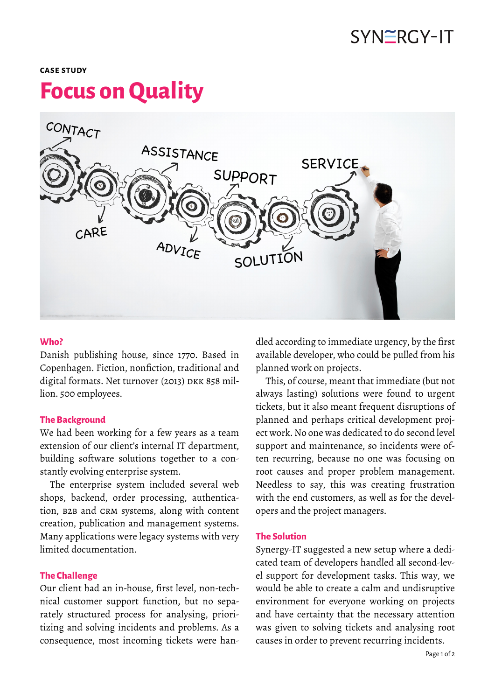## SYNERGY-IT

#### **case study**

# **Focus on Quality**



#### **Who?**

Danish publishing house, since 1770. Based in Copenhagen. Fiction, nonfiction, traditional and digital formats. Net turnover (2013) DKK 858 million. 500 employees.

#### **The Background**

We had been working for a few years as a team extension of our client's internal IT department, building software solutions together to a constantly evolving enterprise system.

The enterprise system included several web shops, backend, order processing, authentication, B2B and CRM systems, along with content creation, publication and management systems. Many applications were legacy systems with very limited documentation.

#### **The Challenge**

Our client had an in-house, first level, non-technical customer support function, but no separately structured process for analysing, prioritizing and solving incidents and problems. As a consequence, most incoming tickets were handled according to immediate urgency, by the first available developer, who could be pulled from his planned work on projects.

This, of course, meant that immediate (but not always lasting) solutions were found to urgent tickets, but it also meant frequent disruptions of planned and perhaps critical development project work. No one was dedicated to do second level support and maintenance, so incidents were often recurring, because no one was focusing on root causes and proper problem management. Needless to say, this was creating frustration with the end customers, as well as for the developers and the project managers.

#### **The Solution**

Synergy-IT suggested a new setup where a dedicated team of developers handled all second-level support for development tasks. This way, we would be able to create a calm and undisruptive environment for everyone working on projects and have certainty that the necessary attention was given to solving tickets and analysing root causes in order to prevent recurring incidents.